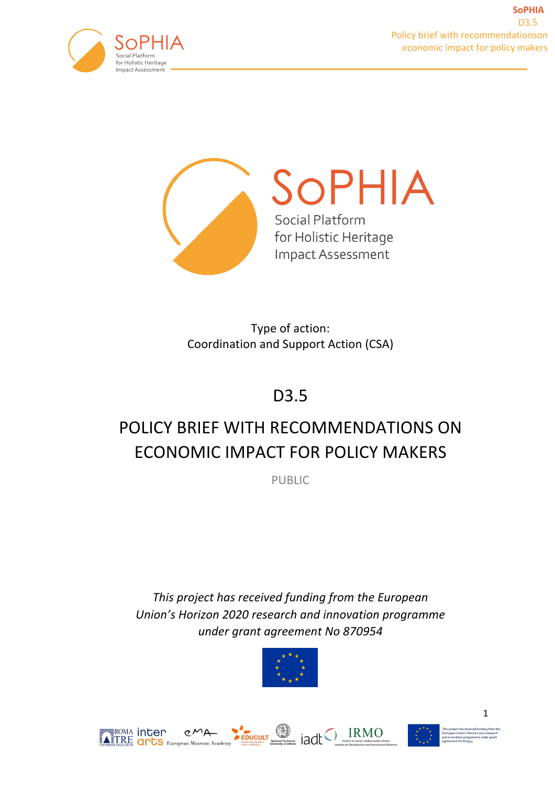



Type of action: Coordination and Support Action (CSA)

## D3.5

# POLICY BRIEF WITH RECOMMENDATIONS ON ECONOMIC IMPACT FOR POLICY MAKERS

PUBLIC

*This project has received funding from the European Union's Horizon 2020 research and innovation programme under grant agreement No 870954*







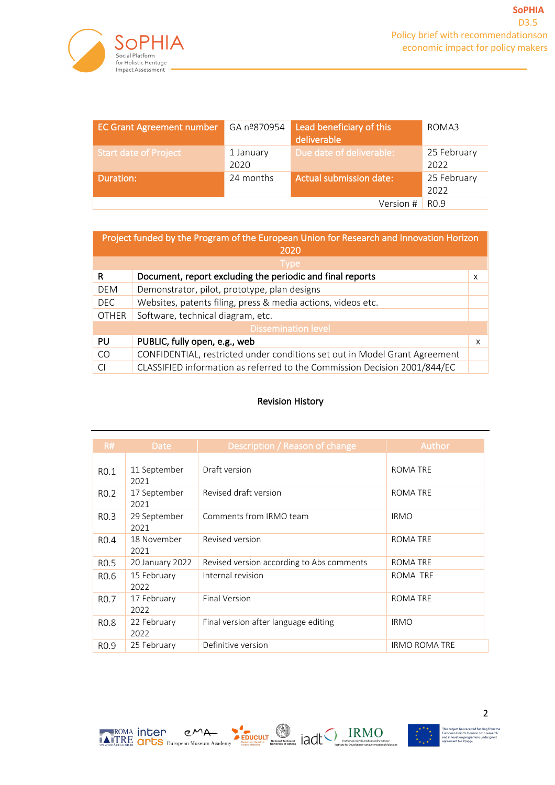

| <b>EC Grant Agreement number</b> | GA nº870954       | Lead beneficiary of this<br>deliverable | ROMA3               |
|----------------------------------|-------------------|-----------------------------------------|---------------------|
| Start date of Project            | 1 January<br>2020 | Due date of deliverable:                | 25 February<br>2022 |
| Duration:                        | 24 months         | <b>Actual submission date:</b>          | 25 February<br>2022 |
|                                  | R <sub>0.9</sub>  |                                         |                     |

| Project funded by the Program of the European Union for Research and Innovation Horizon<br>2020 |                                                                            |   |  |  |  |  |
|-------------------------------------------------------------------------------------------------|----------------------------------------------------------------------------|---|--|--|--|--|
| Type                                                                                            |                                                                            |   |  |  |  |  |
| R                                                                                               | Document, report excluding the periodic and final reports                  | X |  |  |  |  |
| DEM                                                                                             | Demonstrator, pilot, prototype, plan designs                               |   |  |  |  |  |
| <b>DEC</b>                                                                                      | Websites, patents filing, press & media actions, videos etc.               |   |  |  |  |  |
| <b>OTHER</b>                                                                                    | Software, technical diagram, etc.                                          |   |  |  |  |  |
| <b>Dissemination level</b>                                                                      |                                                                            |   |  |  |  |  |
| PU                                                                                              | PUBLIC, fully open, e.g., web                                              | X |  |  |  |  |
| CO <sub>1</sub>                                                                                 | CONFIDENTIAL, restricted under conditions set out in Model Grant Agreement |   |  |  |  |  |
|                                                                                                 | CLASSIFIED information as referred to the Commission Decision 2001/844/EC  |   |  |  |  |  |

#### Revision History

| R#               | <b>Date</b>          | Description / Reason of change            | Author               |
|------------------|----------------------|-------------------------------------------|----------------------|
| RO.1             | 11 September<br>2021 | Draft version                             | <b>ROMA TRE</b>      |
| RO.2             | 17 September<br>2021 | Revised draft version                     | <b>ROMA TRE</b>      |
| R <sub>0.3</sub> | 29 September<br>2021 | Comments from IRMO team                   | <b>IRMO</b>          |
| R <sub>0.4</sub> | 18 November<br>2021  | Revised version                           | <b>ROMA TRE</b>      |
| R <sub>0.5</sub> | 20 January 2022      | Revised version according to Abs comments | ROMA TRE             |
| R <sub>0.6</sub> | 15 February<br>2022  | Internal revision                         | ROMA TRE             |
| RO.7             | 17 February<br>2022  | <b>Final Version</b>                      | <b>ROMA TRE</b>      |
| R <sub>0.8</sub> | 22 February<br>2022  | Final version after language editing      | <b>IRMO</b>          |
| R <sub>0.9</sub> | 25 February          | Definitive version                        | <b>IRMO ROMA TRE</b> |





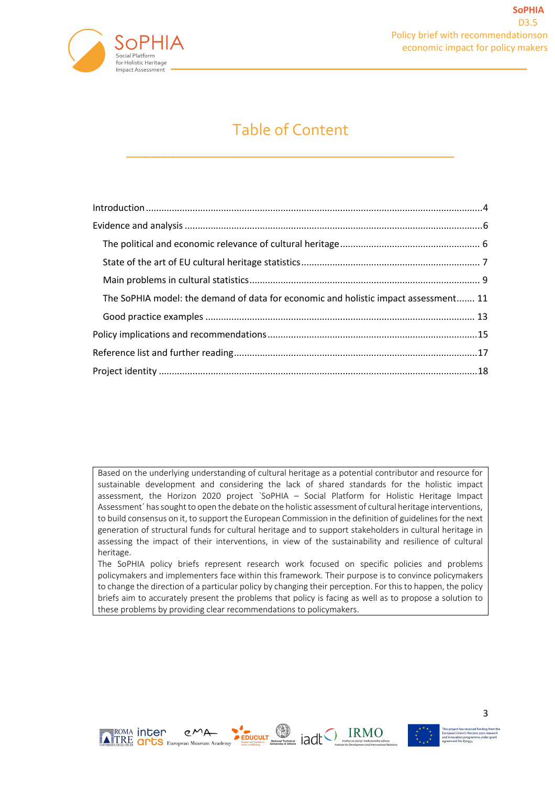

### Table of Content

\_\_\_\_\_\_\_\_\_\_\_\_\_\_\_\_\_\_\_\_\_\_\_\_\_\_\_\_\_\_\_\_\_\_\_\_\_\_\_\_

| The SoPHIA model: the demand of data for economic and holistic impact assessment 11 |  |
|-------------------------------------------------------------------------------------|--|
|                                                                                     |  |
|                                                                                     |  |
|                                                                                     |  |
|                                                                                     |  |

Based on the underlying understanding of cultural heritage as a potential contributor and resource for sustainable development and considering the lack of shared standards for the holistic impact assessment, the Horizon 2020 project `SoPHIA – Social Platform for Holistic Heritage Impact Assessment´ has sought to open the debate on the holistic assessment of cultural heritage interventions, to build consensus on it, to support the European Commission in the definition of guidelines for the next generation of structural funds for cultural heritage and to support stakeholders in cultural heritage in assessing the impact of their interventions, in view of the sustainability and resilience of cultural heritage.

The SoPHIA policy briefs represent research work focused on specific policies and problems policymakers and implementers face within this framework. Their purpose is to convince policymakers to change the direction of a particular policy by changing their perception. For this to happen, the policy briefs aim to accurately present the problems that policy is facing as well as to propose a solution to these problems by providing clear recommendations to policymakers.



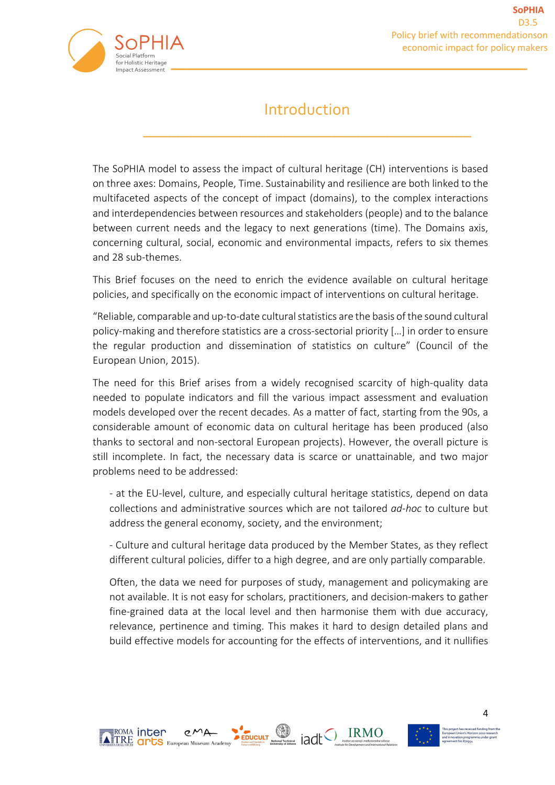

### Introduction

\_\_\_\_\_\_\_\_\_\_\_\_\_\_\_\_\_\_\_\_\_\_\_\_\_\_\_\_\_\_\_\_\_\_\_\_\_\_\_\_

The SoPHIA model to assess the impact of cultural heritage (CH) interventions is based on three axes: Domains, People, Time. Sustainability and resilience are both linked to the multifaceted aspects of the concept of impact (domains), to the complex interactions and interdependencies between resources and stakeholders (people) and to the balance between current needs and the legacy to next generations (time). The Domains axis, concerning cultural, social, economic and environmental impacts, refers to six themes and 28 sub-themes.

This Brief focuses on the need to enrich the evidence available on cultural heritage policies, and specifically on the economic impact of interventions on cultural heritage.

"Reliable, comparable and up-to-date cultural statistics are the basis of the sound cultural policy-making and therefore statistics are a cross-sectorial priority […] in order to ensure the regular production and dissemination of statistics on culture" (Council of the European Union, 2015).

The need for this Brief arises from a widely recognised scarcity of high-quality data needed to populate indicators and fill the various impact assessment and evaluation models developed over the recent decades. As a matter of fact, starting from the 90s, a considerable amount of economic data on cultural heritage has been produced (also thanks to sectoral and non-sectoral European projects). However, the overall picture is still incomplete. In fact, the necessary data is scarce or unattainable, and two major problems need to be addressed:

- at the EU-level, culture, and especially cultural heritage statistics, depend on data collections and administrative sources which are not tailored *ad-hoc* to culture but address the general economy, society, and the environment;

- Culture and cultural heritage data produced by the Member States, as they reflect different cultural policies, differ to a high degree, and are only partially comparable.

Often, the data we need for purposes of study, management and policymaking are not available. It is not easy for scholars, practitioners, and decision-makers to gather fine-grained data at the local level and then harmonise them with due accuracy, relevance, pertinence and timing. This makes it hard to design detailed plans and build effective models for accounting for the effects of interventions, and it nullifies







 $\Delta$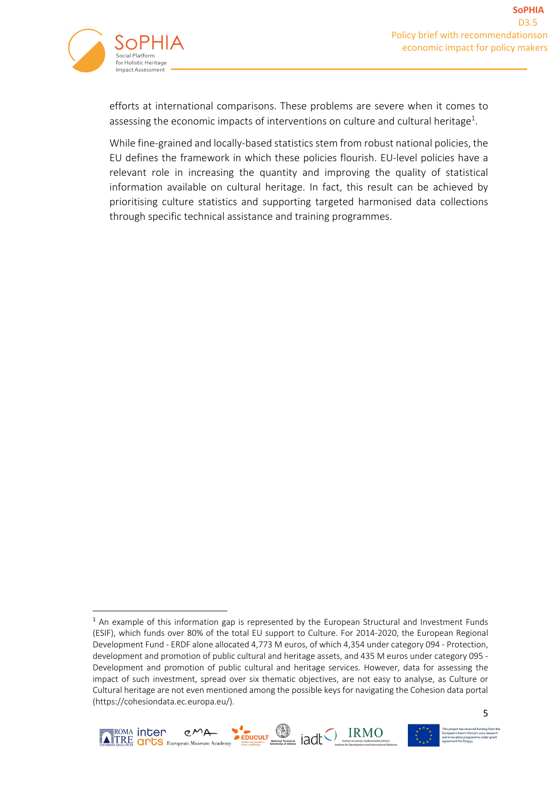

efforts at international comparisons. These problems are severe when it comes to assessing the economic impacts of interventions on culture and cultural heritage<sup>1</sup>.

While fine-grained and locally-based statistics stem from robust national policies, the EU defines the framework in which these policies flourish. EU-level policies have a relevant role in increasing the quantity and improving the quality of statistical information available on cultural heritage. In fact, this result can be achieved by prioritising culture statistics and supporting targeted harmonised data collections through specific technical assistance and training programmes.

<sup>&</sup>lt;sup>1</sup> An example of this information gap is represented by the European Structural and Investment Funds (ESIF), which funds over 80% of the total EU support to Culture. For 2014-2020, the European Regional Development Fund - ERDF alone allocated 4,773 M euros, of which 4,354 under category 094 - Protection, development and promotion of public cultural and heritage assets, and 435 M euros under category 095 - Development and promotion of public cultural and heritage services. However, data for assessing the impact of such investment, spread over six thematic objectives, are not easy to analyse, as Culture or Cultural heritage are not even mentioned among the possible keys for navigating the Cohesion data portal (https://cohesiondata.ec.europa.eu/).



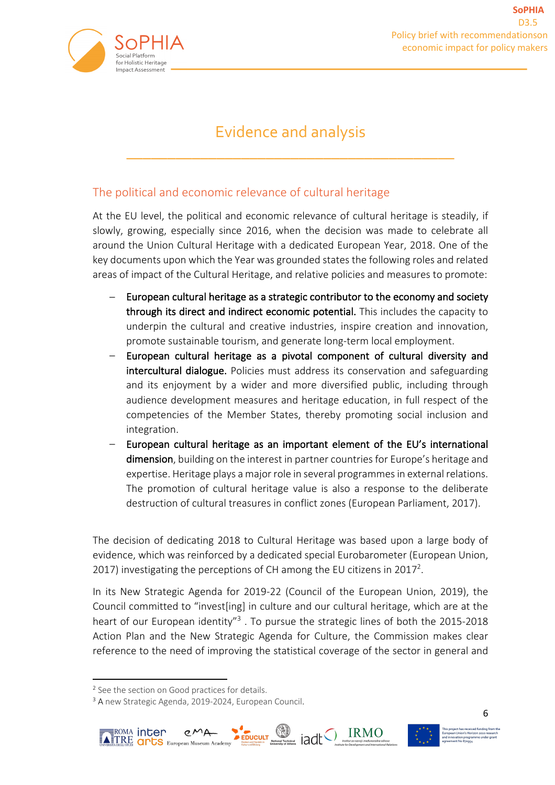

### Evidence and analysis

\_\_\_\_\_\_\_\_\_\_\_\_\_\_\_\_\_\_\_\_\_\_\_\_\_\_\_\_\_\_\_\_\_\_\_\_\_\_\_\_

#### The political and economic relevance of cultural heritage

At the EU level, the political and economic relevance of cultural heritage is steadily, if slowly, growing, especially since 2016, when the decision was made to celebrate all around the Union Cultural Heritage with a dedicated European Year, 2018. One of the key documents upon which the Year was grounded states the following roles and related areas of impact of the Cultural Heritage, and relative policies and measures to promote:

- European cultural heritage as a strategic contributor to the economy and society through its direct and indirect economic potential. This includes the capacity to underpin the cultural and creative industries, inspire creation and innovation, promote sustainable tourism, and generate long-term local employment.
- European cultural heritage as a pivotal component of cultural diversity and intercultural dialogue. Policies must address its conservation and safeguarding and its enjoyment by a wider and more diversified public, including through audience development measures and heritage education, in full respect of the competencies of the Member States, thereby promoting social inclusion and integration.
- European cultural heritage as an important element of the EU's international dimension, building on the interest in partner countries for Europe's heritage and expertise. Heritage plays a major role in several programmes in external relations. The promotion of cultural heritage value is also a response to the deliberate destruction of cultural treasures in conflict zones (European Parliament, 2017).

The decision of dedicating 2018 to Cultural Heritage was based upon a large body of evidence, which was reinforced by a dedicated special Eurobarometer (European Union, 2017) investigating the perceptions of CH among the EU citizens in 2017<sup>2</sup>.

In its New Strategic Agenda for 2019-22 (Council of the European Union, 2019), the Council committed to "invest[ing] in culture and our cultural heritage, which are at the heart of our European identity"<sup>3</sup>. To pursue the strategic lines of both the 2015-2018 Action Plan and the New Strategic Agenda for Culture, the Commission makes clear reference to the need of improving the statistical coverage of the sector in general and

<sup>&</sup>lt;sup>3</sup> A new Strategic Agenda, 2019-2024, European Council.





<sup>&</sup>lt;sup>2</sup> See the section on Good practices for details.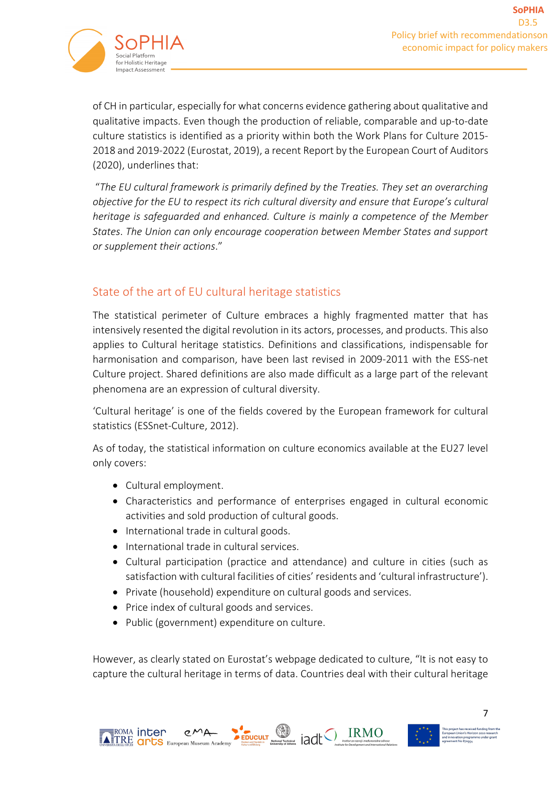

of CH in particular, especially for what concerns evidence gathering about qualitative and qualitative impacts. Even though the production of reliable, comparable and up-to-date culture statistics is identified as a priority within both the Work Plans for Culture 2015- 2018 and 2019-2022 (Eurostat, 2019), a recent Report by the European Court of Auditors (2020), underlines that:

"*The EU cultural framework is primarily defined by the Treaties. They set an overarching objective for the EU to respect its rich cultural diversity and ensure that Europe's cultural heritage is safeguarded and enhanced. Culture is mainly a competence of the Member States*. *The Union can only encourage cooperation between Member States and support or supplement their actions*."

#### State of the art of EU cultural heritage statistics

The statistical perimeter of Culture embraces a highly fragmented matter that has intensively resented the digital revolution in its actors, processes, and products. This also applies to Cultural heritage statistics. Definitions and classifications, indispensable for harmonisation and comparison, have been last revised in 2009-2011 with the ESS-net Culture project. Shared definitions are also made difficult as a large part of the relevant phenomena are an expression of cultural diversity.

'Cultural heritage' is one of the fields covered by the European framework for cultural statistics (ESSnet-Culture, 2012).

As of today, the statistical information on culture economics available at the EU27 level only covers:

- Cultural employment.
- Characteristics and performance of enterprises engaged in cultural economic activities and sold production of cultural goods.
- International trade in cultural goods.
- International trade in cultural services.
- Cultural participation (practice and attendance) and culture in cities (such as satisfaction with cultural facilities of cities' residents and 'cultural infrastructure').
- Private (household) expenditure on cultural goods and services.
- Price index of cultural goods and services.
- Public (government) expenditure on culture.

However, as clearly stated on Eurostat's webpage dedicated to culture, "It is not easy to capture the cultural heritage in terms of data. Countries deal with their cultural heritage

em Museum Academy Supplem Tage and Museum Academy



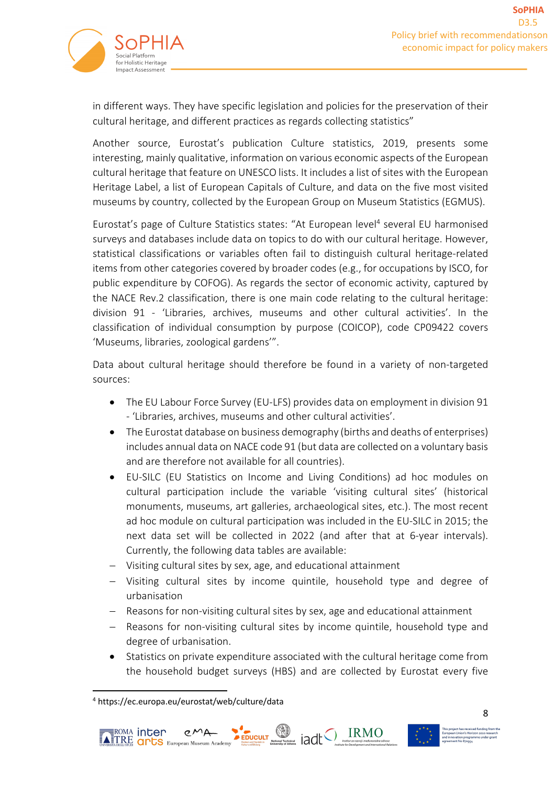

in different ways. They have specific legislation and policies for the preservation of their cultural heritage, and different practices as regards collecting statistics"

Another source, Eurostat's publication Culture statistics, 2019, presents some interesting, mainly qualitative, information on various economic aspects of the European cultural heritage that feature on UNESCO lists. It includes a list of sites with the European Heritage Label, a list of European Capitals of Culture, and data on the five most visited museums by country, collected by the European Group on Museum Statistics (EGMUS).

Eurostat's page of Culture Statistics states: "At European level4 several EU harmonised surveys and databases include data on topics to do with our cultural heritage. However, statistical classifications or variables often fail to distinguish cultural heritage-related items from other categories covered by broader codes (e.g., for occupations by ISCO, for public expenditure by COFOG). As regards the sector of economic activity, captured by the NACE Rev.2 classification, there is one main code relating to the cultural heritage: division 91 - 'Libraries, archives, museums and other cultural activities'. In the classification of individual consumption by purpose (COICOP), code CP09422 covers 'Museums, libraries, zoological gardens'".

Data about cultural heritage should therefore be found in a variety of non-targeted sources:

- The EU Labour Force Survey (EU-LFS) provides data on employment in division 91 - 'Libraries, archives, museums and other cultural activities'.
- The Eurostat database on business demography (births and deaths of enterprises) includes annual data on NACE code 91 (but data are collected on a voluntary basis and are therefore not available for all countries).
- EU-SILC (EU Statistics on Income and Living Conditions) ad hoc modules on cultural participation include the variable 'visiting cultural sites' (historical monuments, museums, art galleries, archaeological sites, etc.). The most recent ad hoc module on cultural participation was included in the EU-SILC in 2015; the next data set will be collected in 2022 (and after that at 6-year intervals). Currently, the following data tables are available:
- Visiting cultural sites by sex, age, and educational attainment
- Visiting cultural sites by income quintile, household type and degree of urbanisation
- Reasons for non-visiting cultural sites by sex, age and educational attainment
- Reasons for non-visiting cultural sites by income quintile, household type and degree of urbanisation.
- Statistics on private expenditure associated with the cultural heritage come from the household budget surveys (HBS) and are collected by Eurostat every five

<sup>4</sup> https://ec.europa.eu/eurostat/web/culture/data



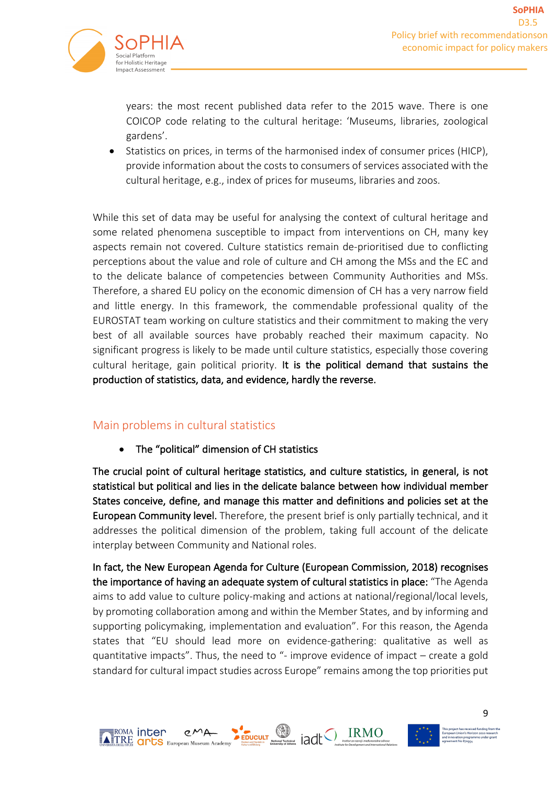

years: the most recent published data refer to the 2015 wave. There is one COICOP code relating to the cultural heritage: 'Museums, libraries, zoological gardens'.

• Statistics on prices, in terms of the harmonised index of consumer prices (HICP), provide information about the costs to consumers of services associated with the cultural heritage, e.g., index of prices for museums, libraries and zoos.

While this set of data may be useful for analysing the context of cultural heritage and some related phenomena susceptible to impact from interventions on CH, many key aspects remain not covered. Culture statistics remain de-prioritised due to conflicting perceptions about the value and role of culture and CH among the MSs and the EC and to the delicate balance of competencies between Community Authorities and MSs. Therefore, a shared EU policy on the economic dimension of CH has a very narrow field and little energy. In this framework, the commendable professional quality of the EUROSTAT team working on culture statistics and their commitment to making the very best of all available sources have probably reached their maximum capacity. No significant progress is likely to be made until culture statistics, especially those covering cultural heritage, gain political priority. It is the political demand that sustains the production of statistics, data, and evidence, hardly the reverse.

#### Main problems in cultural statistics

• The "political" dimension of CH statistics

The crucial point of cultural heritage statistics, and culture statistics, in general, is not statistical but political and lies in the delicate balance between how individual member States conceive, define, and manage this matter and definitions and policies set at the European Community level. Therefore, the present brief is only partially technical, and it addresses the political dimension of the problem, taking full account of the delicate interplay between Community and National roles.

In fact, the New European Agenda for Culture (European Commission, 2018) recognises the importance of having an adequate system of cultural statistics in place: "The Agenda aims to add value to culture policy-making and actions at national/regional/local levels, by promoting collaboration among and within the Member States, and by informing and supporting policymaking, implementation and evaluation". For this reason, the Agenda states that "EU should lead more on evidence-gathering: qualitative as well as quantitative impacts". Thus, the need to "- improve evidence of impact – create a gold standard for cultural impact studies across Europe" remains among the top priorities put



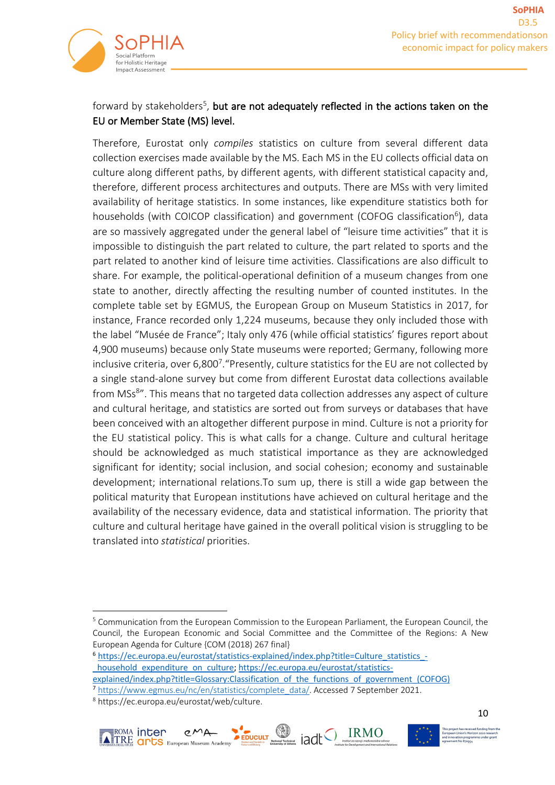

#### forward by stakeholders<sup>5</sup>, but are not adequately reflected in the actions taken on the EU or Member State (MS) level.

Therefore, Eurostat only *compiles* statistics on culture from several different data collection exercises made available by the MS. Each MS in the EU collects official data on culture along different paths, by different agents, with different statistical capacity and, therefore, different process architectures and outputs. There are MSs with very limited availability of heritage statistics. In some instances, like expenditure statistics both for households (with COICOP classification) and government (COFOG classification<sup>6</sup>), data are so massively aggregated under the general label of "leisure time activities" that it is impossible to distinguish the part related to culture, the part related to sports and the part related to another kind of leisure time activities. Classifications are also difficult to share. For example, the political-operational definition of a museum changes from one state to another, directly affecting the resulting number of counted institutes. In the complete table set by EGMUS, the European Group on Museum Statistics in 2017, for instance, France recorded only 1,224 museums, because they only included those with the label "Musée de France"; Italy only 476 (while official statistics' figures report about 4,900 museums) because only State museums were reported; Germany, following more inclusive criteria, over 6,800<sup>7</sup>. "Presently, culture statistics for the EU are not collected by a single stand-alone survey but come from different Eurostat data collections available from MSs<sup>8</sup>". This means that no targeted data collection addresses any aspect of culture and cultural heritage, and statistics are sorted out from surveys or databases that have been conceived with an altogether different purpose in mind. Culture is not a priority for the EU statistical policy. This is what calls for a change. Culture and cultural heritage should be acknowledged as much statistical importance as they are acknowledged significant for identity; social inclusion, and social cohesion; economy and sustainable development; international relations.To sum up, there is still a wide gap between the political maturity that European institutions have achieved on cultural heritage and the availability of the necessary evidence, data and statistical information. The priority that culture and cultural heritage have gained in the overall political vision is struggling to be translated into *statistical* priorities.

<sup>8</sup> https://ec.europa.eu/eurostat/web/culture.





<sup>&</sup>lt;sup>5</sup> Communication from the European Commission to the European Parliament, the European Council, the Council, the European Economic and Social Committee and the Committee of the Regions: A New European Agenda for Culture {COM (2018) 267 final}

<sup>6</sup> https://ec.europa.eu/eurostat/statistics-explained/index.php?title=Culture\_statistics\_- \_household\_expenditure\_on\_culture; https://ec.europa.eu/eurostat/statistics-

explained/index.php?title=Glossary:Classification\_of\_the\_functions\_of\_government\_(COFOG)

<sup>7</sup> https://www.egmus.eu/nc/en/statistics/complete\_data/. Accessed 7 September 2021.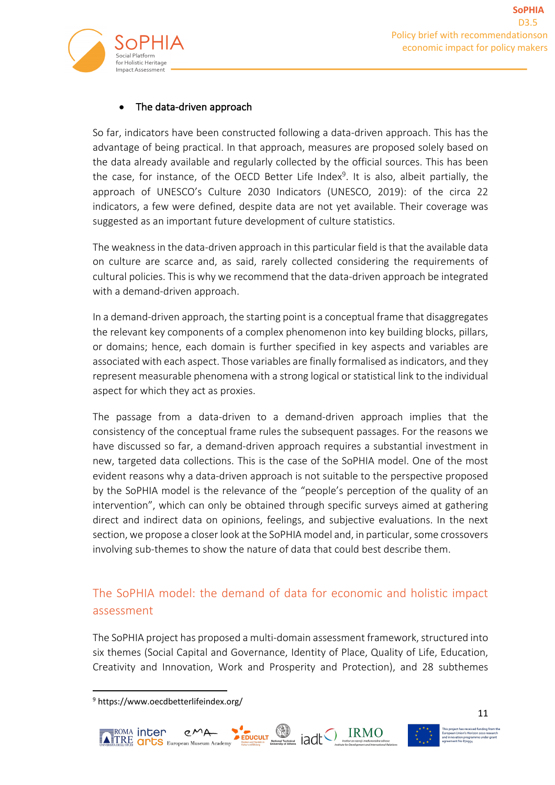

#### The data-driven approach

So far, indicators have been constructed following a data-driven approach. This has the advantage of being practical. In that approach, measures are proposed solely based on the data already available and regularly collected by the official sources. This has been the case, for instance, of the OECD Better Life Index<sup>9</sup>. It is also, albeit partially, the approach of UNESCO's Culture 2030 Indicators (UNESCO, 2019): of the circa 22 indicators, a few were defined, despite data are not yet available. Their coverage was suggested as an important future development of culture statistics.

The weakness in the data-driven approach in this particular field is that the available data on culture are scarce and, as said, rarely collected considering the requirements of cultural policies. This is why we recommend that the data-driven approach be integrated with a demand-driven approach.

In a demand-driven approach, the starting point is a conceptual frame that disaggregates the relevant key components of a complex phenomenon into key building blocks, pillars, or domains; hence, each domain is further specified in key aspects and variables are associated with each aspect. Those variables are finally formalised as indicators, and they represent measurable phenomena with a strong logical or statistical link to the individual aspect for which they act as proxies.

The passage from a data-driven to a demand-driven approach implies that the consistency of the conceptual frame rules the subsequent passages. For the reasons we have discussed so far, a demand-driven approach requires a substantial investment in new, targeted data collections. This is the case of the SoPHIA model. One of the most evident reasons why a data-driven approach is not suitable to the perspective proposed by the SoPHIA model is the relevance of the "people's perception of the quality of an intervention", which can only be obtained through specific surveys aimed at gathering direct and indirect data on opinions, feelings, and subjective evaluations. In the next section, we propose a closer look at the SoPHIA model and, in particular, some crossovers involving sub-themes to show the nature of data that could best describe them.

### The SoPHIA model: the demand of data for economic and holistic impact assessment

The SoPHIA project has proposed a multi-domain assessment framework, structured into six themes (Social Capital and Governance, Identity of Place, Quality of Life, Education, Creativity and Innovation, Work and Prosperity and Protection), and 28 subthemes

<sup>9</sup> https://www.oecdbetterlifeindex.org/



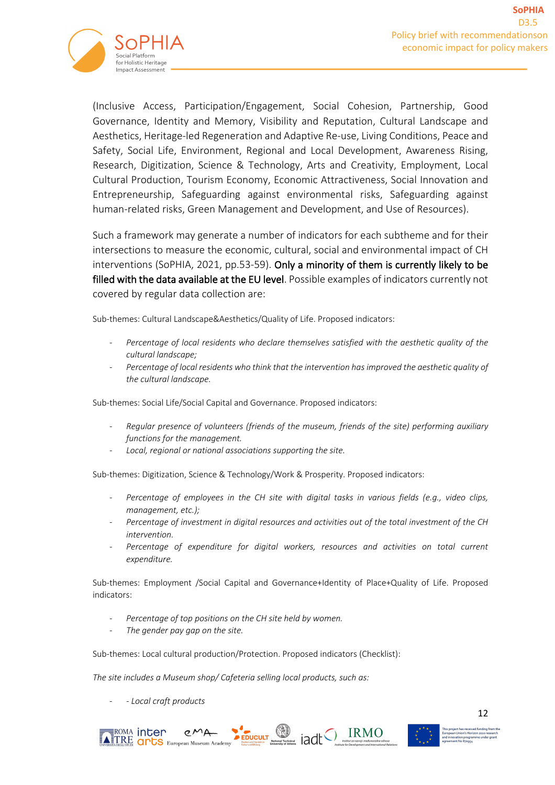

(Inclusive Access, Participation/Engagement, Social Cohesion, Partnership, Good Governance, Identity and Memory, Visibility and Reputation, Cultural Landscape and Aesthetics, Heritage-led Regeneration and Adaptive Re-use, Living Conditions, Peace and Safety, Social Life, Environment, Regional and Local Development, Awareness Rising, Research, Digitization, Science & Technology, Arts and Creativity, Employment, Local Cultural Production, Tourism Economy, Economic Attractiveness, Social Innovation and Entrepreneurship, Safeguarding against environmental risks, Safeguarding against human-related risks, Green Management and Development, and Use of Resources).

Such a framework may generate a number of indicators for each subtheme and for their intersections to measure the economic, cultural, social and environmental impact of CH interventions (SoPHIA, 2021, pp.53-59). Only a minority of them is currently likely to be filled with the data available at the EU level. Possible examples of indicators currently not covered by regular data collection are:

Sub-themes: Cultural Landscape&Aesthetics/Quality of Life. Proposed indicators:

- *Percentage of local residents who declare themselves satisfied with the aesthetic quality of the cultural landscape;*
- *Percentage of local residents who think that the intervention has improved the aesthetic quality of the cultural landscape.*

Sub-themes: Social Life/Social Capital and Governance. Proposed indicators:

- *Regular presence of volunteers (friends of the museum, friends of the site) performing auxiliary functions for the management.*
- *Local, regional or national associations supporting the site.*

Sub-themes: Digitization, Science & Technology/Work & Prosperity. Proposed indicators:

- *Percentage of employees in the CH site with digital tasks in various fields (e.g., video clips, management, etc.);*
- Percentage of investment in digital resources and activities out of the total investment of the CH *intervention.*
- Percentage of expenditure for digital workers, resources and activities on total current *expenditure.*

Sub-themes: Employment /Social Capital and Governance+Identity of Place+Quality of Life. Proposed indicators:

- Percentage of top positions on the CH site held by women.
- *The gender pay gap on the site.*

Sub-themes: Local cultural production/Protection. Proposed indicators (Checklist):

*The site includes a Museum shop/ Cafeteria selling local products, such as:*

- *- Local craft products*

**ROMA** inter **ATRE GPUS Europe** 

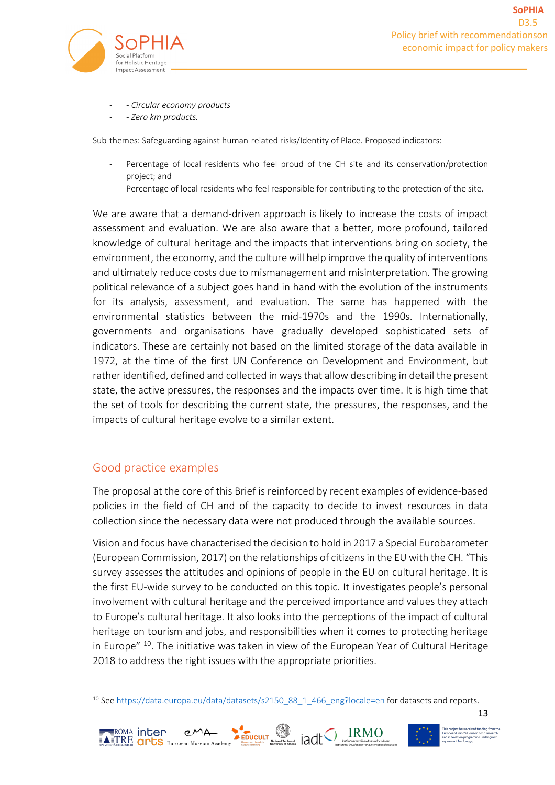

- *- Circular economy products*
- *- Zero km products.*

Sub-themes: Safeguarding against human-related risks/Identity of Place. Proposed indicators:

- Percentage of local residents who feel proud of the CH site and its conservation/protection project; and
- Percentage of local residents who feel responsible for contributing to the protection of the site.

We are aware that a demand-driven approach is likely to increase the costs of impact assessment and evaluation. We are also aware that a better, more profound, tailored knowledge of cultural heritage and the impacts that interventions bring on society, the environment, the economy, and the culture will help improve the quality of interventions and ultimately reduce costs due to mismanagement and misinterpretation. The growing political relevance of a subject goes hand in hand with the evolution of the instruments for its analysis, assessment, and evaluation. The same has happened with the environmental statistics between the mid-1970s and the 1990s. Internationally, governments and organisations have gradually developed sophisticated sets of indicators. These are certainly not based on the limited storage of the data available in 1972, at the time of the first UN Conference on Development and Environment, but rather identified, defined and collected in ways that allow describing in detail the present state, the active pressures, the responses and the impacts over time. It is high time that the set of tools for describing the current state, the pressures, the responses, and the impacts of cultural heritage evolve to a similar extent.

#### Good practice examples

≣<sup>ROMA</sup> inter TRE **OPLS** European Mu

The proposal at the core of this Brief is reinforced by recent examples of evidence-based policies in the field of CH and of the capacity to decide to invest resources in data collection since the necessary data were not produced through the available sources.

Vision and focus have characterised the decision to hold in 2017 a Special Eurobarometer (European Commission, 2017) on the relationships of citizens in the EU with the CH. "This survey assesses the attitudes and opinions of people in the EU on cultural heritage. It is the first EU-wide survey to be conducted on this topic. It investigates people's personal involvement with cultural heritage and the perceived importance and values they attach to Europe's cultural heritage. It also looks into the perceptions of the impact of cultural heritage on tourism and jobs, and responsibilities when it comes to protecting heritage in Europe" <sup>10</sup>. The initiative was taken in view of the European Year of Cultural Heritage 2018 to address the right issues with the appropriate priorities.

<sup>&</sup>lt;sup>10</sup> See https://data.europa.eu/data/datasets/s2150 88 1 466 eng?locale=en for datasets and reports.



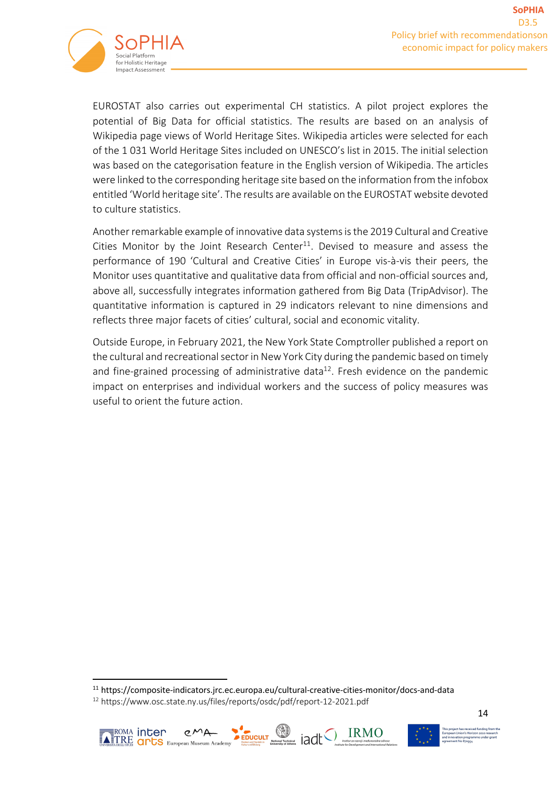

EUROSTAT also carries out experimental CH statistics. A pilot project explores the potential of Big Data for official statistics. The results are based on an analysis of Wikipedia page views of World Heritage Sites. Wikipedia articles were selected for each of the 1 031 World Heritage Sites included on UNESCO's list in 2015. The initial selection was based on the categorisation feature in the English version of Wikipedia. The articles were linked to the corresponding heritage site based on the information from the infobox entitled 'World heritage site'. The results are available on the EUROSTAT website devoted to culture statistics.

Another remarkable example of innovative data systems is the 2019 Cultural and Creative Cities Monitor by the Joint Research Center<sup>11</sup>. Devised to measure and assess the performance of 190 'Cultural and Creative Cities' in Europe vis-à-vis their peers, the Monitor uses quantitative and qualitative data from official and non-official sources and, above all, successfully integrates information gathered from Big Data (TripAdvisor). The quantitative information is captured in 29 indicators relevant to nine dimensions and reflects three major facets of cities' cultural, social and economic vitality.

Outside Europe, in February 2021, the New York State Comptroller published a report on the cultural and recreational sector in New York City during the pandemic based on timely and fine-grained processing of administrative data<sup>12</sup>. Fresh evidence on the pandemic impact on enterprises and individual workers and the success of policy measures was useful to orient the future action.

<sup>12</sup> https://www.osc.state.ny.us/files/reports/osdc/pdf/report-12-2021.pdf





<sup>11</sup> https://composite-indicators.jrc.ec.europa.eu/cultural-creative-cities-monitor/docs-and-data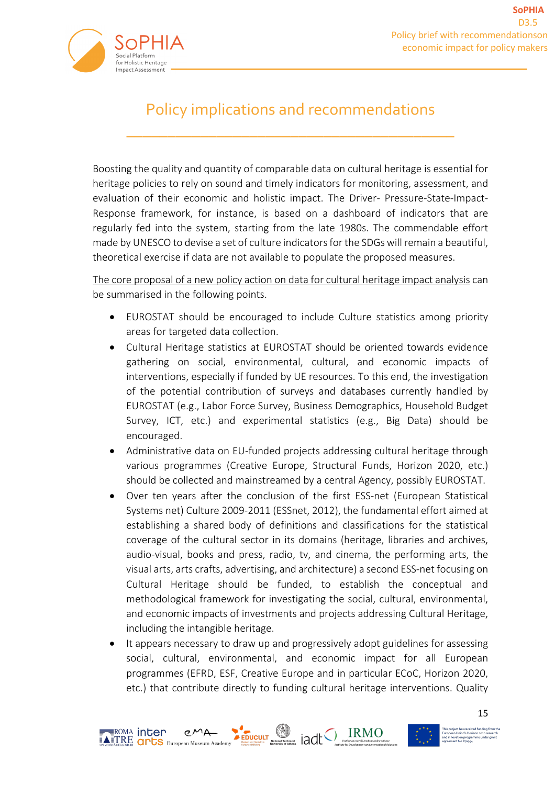

≣<sup>ROMA</sup> inter

 $\blacksquare$ TRE **QPUS** European Museum Academ

### Policy implications and recommendations

\_\_\_\_\_\_\_\_\_\_\_\_\_\_\_\_\_\_\_\_\_\_\_\_\_\_\_\_\_\_\_\_\_\_\_\_\_\_\_\_

Boosting the quality and quantity of comparable data on cultural heritage is essential for heritage policies to rely on sound and timely indicators for monitoring, assessment, and evaluation of their economic and holistic impact. The Driver- Pressure-State-Impact-Response framework, for instance, is based on a dashboard of indicators that are regularly fed into the system, starting from the late 1980s. The commendable effort made by UNESCO to devise a set of culture indicators for the SDGs will remain a beautiful, theoretical exercise if data are not available to populate the proposed measures.

The core proposal of a new policy action on data for cultural heritage impact analysis can be summarised in the following points.

- EUROSTAT should be encouraged to include Culture statistics among priority areas for targeted data collection.
- Cultural Heritage statistics at EUROSTAT should be oriented towards evidence gathering on social, environmental, cultural, and economic impacts of interventions, especially if funded by UE resources. To this end, the investigation of the potential contribution of surveys and databases currently handled by EUROSTAT (e.g., Labor Force Survey, Business Demographics, Household Budget Survey, ICT, etc.) and experimental statistics (e.g., Big Data) should be encouraged.
- Administrative data on EU-funded projects addressing cultural heritage through various programmes (Creative Europe, Structural Funds, Horizon 2020, etc.) should be collected and mainstreamed by a central Agency, possibly EUROSTAT.
- Over ten years after the conclusion of the first ESS-net (European Statistical Systems net) Culture 2009-2011 (ESSnet, 2012), the fundamental effort aimed at establishing a shared body of definitions and classifications for the statistical coverage of the cultural sector in its domains (heritage, libraries and archives, audio-visual, books and press, radio, tv, and cinema, the performing arts, the visual arts, arts crafts, advertising, and architecture) a second ESS-net focusing on Cultural Heritage should be funded, to establish the conceptual and methodological framework for investigating the social, cultural, environmental, and economic impacts of investments and projects addressing Cultural Heritage, including the intangible heritage.
- It appears necessary to draw up and progressively adopt guidelines for assessing social, cultural, environmental, and economic impact for all European programmes (EFRD, ESF, Creative Europe and in particular ECoC, Horizon 2020, etc.) that contribute directly to funding cultural heritage interventions. Quality

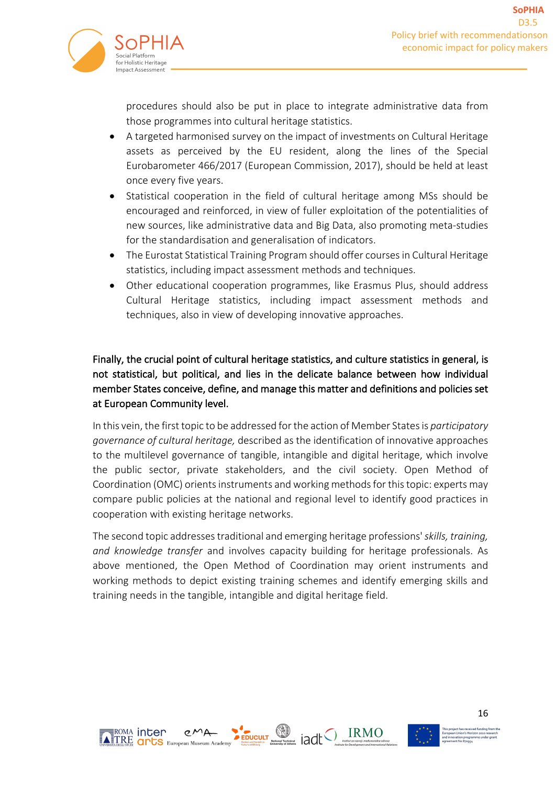

procedures should also be put in place to integrate administrative data from those programmes into cultural heritage statistics.

- A targeted harmonised survey on the impact of investments on Cultural Heritage assets as perceived by the EU resident, along the lines of the Special Eurobarometer 466/2017 (European Commission, 2017), should be held at least once every five years.
- Statistical cooperation in the field of cultural heritage among MSs should be encouraged and reinforced, in view of fuller exploitation of the potentialities of new sources, like administrative data and Big Data, also promoting meta-studies for the standardisation and generalisation of indicators.
- The Eurostat Statistical Training Program should offer courses in Cultural Heritage statistics, including impact assessment methods and techniques.
- Other educational cooperation programmes, like Erasmus Plus, should address Cultural Heritage statistics, including impact assessment methods and techniques, also in view of developing innovative approaches.

#### Finally, the crucial point of cultural heritage statistics, and culture statistics in general, is not statistical, but political, and lies in the delicate balance between how individual member States conceive, define, and manage this matter and definitions and policies set at European Community level.

In this vein, the first topic to be addressed for the action of Member Statesis *participatory governance of cultural heritage,* described as the identification of innovative approaches to the multilevel governance of tangible, intangible and digital heritage, which involve the public sector, private stakeholders, and the civil society. Open Method of Coordination (OMC) orients instruments and working methods for this topic: experts may compare public policies at the national and regional level to identify good practices in cooperation with existing heritage networks.

The second topic addresses traditional and emerging heritage professions'*skills, training, and knowledge transfer* and involves capacity building for heritage professionals. As above mentioned, the Open Method of Coordination may orient instruments and working methods to depict existing training schemes and identify emerging skills and training needs in the tangible, intangible and digital heritage field.

EDUCULT National Technic





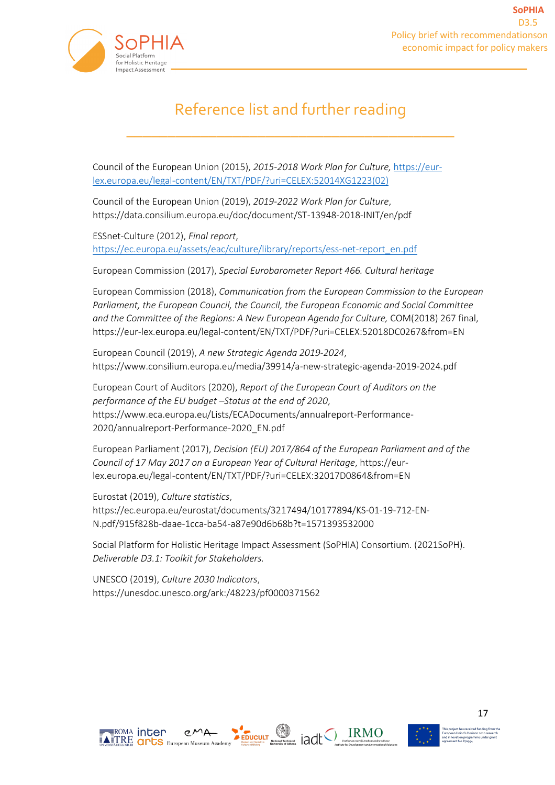

### Reference list and further reading

\_\_\_\_\_\_\_\_\_\_\_\_\_\_\_\_\_\_\_\_\_\_\_\_\_\_\_\_\_\_\_\_\_\_\_\_\_\_\_\_

Council of the European Union (2015), *2015-2018 Work Plan for Culture,* https://eurlex.europa.eu/legal-content/EN/TXT/PDF/?uri=CELEX:52014XG1223(02)

Council of the European Union (2019), *2019-2022 Work Plan for Culture*, https://data.consilium.europa.eu/doc/document/ST-13948-2018-INIT/en/pdf

ESSnet-Culture (2012), *Final report*, https://ec.europa.eu/assets/eac/culture/library/reports/ess-net-report\_en.pdf

European Commission (2017), *Special Eurobarometer Report 466. Cultural heritage*

European Commission (2018), *Communication from the European Commission to the European Parliament, the European Council, the Council, the European Economic and Social Committee and the Committee of the Regions: A New European Agenda for Culture,* COM(2018) 267 final, https://eur-lex.europa.eu/legal-content/EN/TXT/PDF/?uri=CELEX:52018DC0267&from=EN

European Council (2019), *A new Strategic Agenda 2019-2024*, https://www.consilium.europa.eu/media/39914/a-new-strategic-agenda-2019-2024.pdf

European Court of Auditors (2020), *Report of the European Court of Auditors on the performance of the EU budget –Status at the end of 2020*, https://www.eca.europa.eu/Lists/ECADocuments/annualreport-Performance-2020/annualreport-Performance-2020\_EN.pdf

European Parliament (2017), *Decision (EU) 2017/864 of the European Parliament and of the Council of 17 May 2017 on a European Year of Cultural Heritage*, https://eurlex.europa.eu/legal-content/EN/TXT/PDF/?uri=CELEX:32017D0864&from=EN

Eurostat (2019), *Culture statistics*, https://ec.europa.eu/eurostat/documents/3217494/10177894/KS-01-19-712-EN-N.pdf/915f828b-daae-1cca-ba54-a87e90d6b68b?t=1571393532000

Social Platform for Holistic Heritage Impact Assessment (SoPHIA) Consortium. (2021SoPH). *Deliverable D3.1: Toolkit for Stakeholders.*

UNESCO (2019), *Culture 2030 Indicators*, https://unesdoc.unesco.org/ark:/48223/pf0000371562